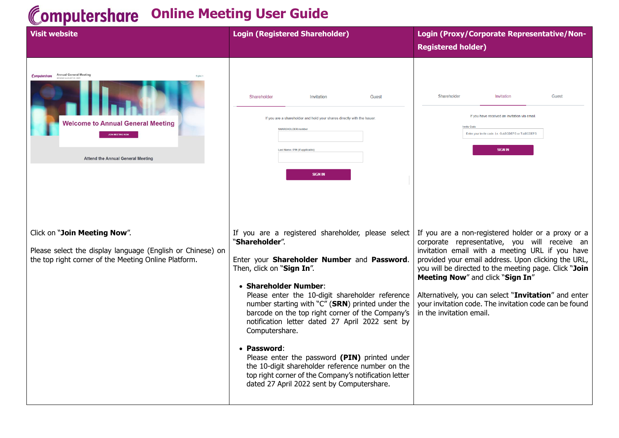## **Computershare Online Meeting User Guide**

| <b>Visit website</b>                                                                                                                               | <b>Login (Registered Shareholder)</b>                                                                                                                                                                                                                                                                                                                                                                                                                                                                                                                                                                                                | Login (Proxy/Corporate Representative/Non-<br><b>Registered holder)</b>                                                                                                                                                                                                                                                                                                                                                                                  |
|----------------------------------------------------------------------------------------------------------------------------------------------------|--------------------------------------------------------------------------------------------------------------------------------------------------------------------------------------------------------------------------------------------------------------------------------------------------------------------------------------------------------------------------------------------------------------------------------------------------------------------------------------------------------------------------------------------------------------------------------------------------------------------------------------|----------------------------------------------------------------------------------------------------------------------------------------------------------------------------------------------------------------------------------------------------------------------------------------------------------------------------------------------------------------------------------------------------------------------------------------------------------|
| Computershare Annual General Meeting<br><b>Welcome to Annual General Meeting</b><br><b>Attend the Annual General Meeting</b>                       | Shareholder<br>Invitation<br>Guest<br>If you are a shareholder and hold your shares directly with the Issuer<br><b>SHAREHOLDER number</b><br>Last Name / PIN (if applicable<br><b>SIGN IN</b>                                                                                                                                                                                                                                                                                                                                                                                                                                        | Shareholder<br>Invitation<br>Guest<br>If you have received an invitation via email<br><b>Invite Code</b><br>Enter your invite code. i.e. G-ABCDEFG or T-ABCDEFG<br><b>SIGN IN</b>                                                                                                                                                                                                                                                                        |
| Click on "Join Meeting Now".<br>Please select the display language (English or Chinese) on<br>the top right corner of the Meeting Online Platform. | If you are a registered shareholder, please select<br>"Shareholder".<br>Enter your Shareholder Number and Password.<br>Then, click on "Sign In".<br>• Shareholder Number:<br>Please enter the 10-digit shareholder reference<br>number starting with "C" (SRN) printed under the<br>barcode on the top right corner of the Company's<br>notification letter dated 27 April 2022 sent by<br>Computershare.<br>• Password:<br>Please enter the password (PIN) printed under<br>the 10-digit shareholder reference number on the<br>top right corner of the Company's notification letter<br>dated 27 April 2022 sent by Computershare. | If you are a non-registered holder or a proxy or a<br>corporate representative, you will receive an<br>invitation email with a meeting URL if you have<br>provided your email address. Upon clicking the URL,<br>you will be directed to the meeting page. Click "Join<br>Meeting Now" and click "Sign In"<br>Alternatively, you can select "Invitation" and enter<br>your invitation code. The invitation code can be found<br>in the invitation email. |